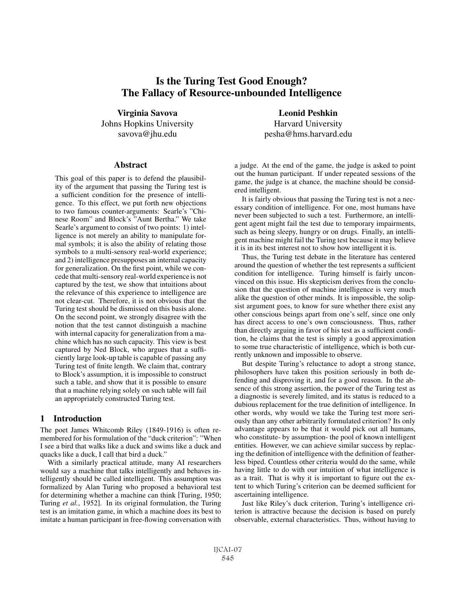# Is the Turing Test Good Enough? The Fallacy of Resource-unbounded Intelligence

Virginia Savova Johns Hopkins University savova@jhu.edu

#### **Abstract**

This goal of this paper is to defend the plausibility of the argument that passing the Turing test is a sufficient condition for the presence of intelligence. To this effect, we put forth new objections to two famous counter-arguments: Searle's "Chinese Room" and Block's "Aunt Bertha." We take Searle's argument to consist of two points: 1) intelligence is not merely an ability to manipulate formal symbols; it is also the ability of relating those symbols to a multi-sensory real-world experience; and 2) intelligence presupposes an internal capacity for generalization. On the first point, while we concede that multi-sensory real-world experience is not captured by the test, we show that intuitions about the relevance of this experience to intelligence are not clear-cut. Therefore, it is not obvious that the Turing test should be dismissed on this basis alone. On the second point, we strongly disagree with the notion that the test cannot distinguish a machine with internal capacity for generalization from a machine which has no such capacity. This view is best captured by Ned Block, who argues that a sufficiently large look-up table is capable of passing any Turing test of finite length. We claim that, contrary to Block's assumption, it is impossible to construct such a table, and show that it is possible to ensure that a machine relying solely on such table will fail an appropriately constructed Turing test.

#### 1 Introduction

The poet James Whitcomb Riley (1849-1916) is often remembered for his formulation of the "duck criterion": "When I see a bird that walks like a duck and swims like a duck and quacks like a duck, I call that bird a duck."

With a similarly practical attitude, many AI researchers would say a machine that talks intelligently and behaves intelligently should be called intelligent. This assumption was formalized by Alan Turing who proposed a behavioral test for determining whether a machine can think [Turing, 1950; Turing *et al.*, 1952]. In its original formulation, the Turing test is an imitation game, in which a machine does its best to imitate a human participant in free-flowing conversation with

Leonid Peshkin Harvard University pesha@hms.harvard.edu

a judge. At the end of the game, the judge is asked to point out the human participant. If under repeated sessions of the game, the judge is at chance, the machine should be considered intelligent.

It is fairly obvious that passing the Turing test is not a necessary condition of intelligence. For one, most humans have never been subjected to such a test. Furthermore, an intelligent agent might fail the test due to temporary impairments, such as being sleepy, hungry or on drugs. Finally, an intelligent machine might fail the Turing test because it may believe it is in its best interest not to show how intelligent it is.

Thus, the Turing test debate in the literature has centered around the question of whether the test represents a sufficient condition for intelligence. Turing himself is fairly unconvinced on this issue. His skepticism derives from the conclusion that the question of machine intelligence is very much alike the question of other minds. It is impossible, the solipsist argument goes, to know for sure whether there exist any other conscious beings apart from one's self, since one only has direct access to one's own consciousness. Thus, rather than directly arguing in favor of his test as a sufficient condition, he claims that the test is simply a good approximation to some true characteristic of intelligence, which is both currently unknown and impossible to observe.

But despite Turing's reluctance to adopt a strong stance, philosophers have taken this position seriously in both defending and disproving it, and for a good reason. In the absence of this strong assertion, the power of the Turing test as a diagnostic is severely limited, and its status is reduced to a dubious replacement for the true definition of intelligence. In other words, why would we take the Turing test more seriously than any other arbitrarily formulated criterion? Its only advantage appears to be that it would pick out all humans, who constitute- by assumption- the pool of known intelligent entities. However, we can achieve similar success by replacing the definition of intelligence with the definition of featherless biped. Countless other criteria would do the same, while having little to do with our intuition of what intelligence is as a trait. That is why it is important to figure out the extent to which Turing's criterion can be deemed sufficient for ascertaining intelligence.

Just like Riley's duck criterion, Turing's intelligence criterion is attractive because the decision is based on purely observable, external characteristics. Thus, without having to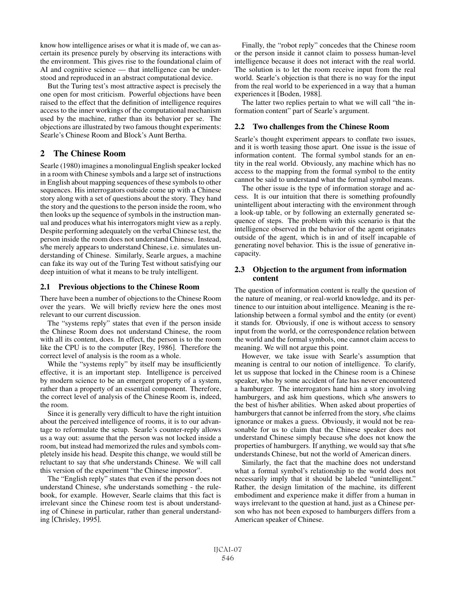know how intelligence arises or what it is made of, we can ascertain its presence purely by observing its interactions with the environment. This gives rise to the foundational claim of AI and cognitive science — that intelligence can be understood and reproduced in an abstract computational device.

But the Turing test's most attractive aspect is precisely the one open for most criticism. Powerful objections have been raised to the effect that the definition of intelligence requires access to the inner workings of the computational mechanism used by the machine, rather than its behavior per se. The objections are illustrated by two famous thought experiments: Searle's Chinese Room and Block's Aunt Bertha.

# 2 The Chinese Room

Searle (1980) imagines a monolingual English speaker locked in a room with Chinese symbols and a large set of instructions in English about mapping sequences of these symbols to other sequences. His interrogators outside come up with a Chinese story along with a set of questions about the story. They hand the story and the questions to the person inside the room, who then looks up the sequence of symbols in the instruction manual and produces what his interrogators might view as a reply. Despite performing adequately on the verbal Chinese test, the person inside the room does not understand Chinese. Instead, s/he merely appears to understand Chinese, i.e. simulates understanding of Chinese. Similarly, Searle argues, a machine can fake its way out of the Turing Test without satisfying our deep intuition of what it means to be truly intelligent.

### 2.1 Previous objections to the Chinese Room

There have been a number of objections to the Chinese Room over the years. We will briefly review here the ones most relevant to our current discussion.

The "systems reply" states that even if the person inside the Chinese Room does not understand Chinese, the room with all its content, does. In effect, the person is to the room like the CPU is to the computer [Rey, 1986]. Therefore the correct level of analysis is the room as a whole.

While the "systems reply" by itself may be insufficiently effective, it is an important step. Intelligence is perceived by modern science to be an emergent property of a system, rather than a property of an essential component. Therefore, the correct level of analysis of the Chinese Room is, indeed, the room.

Since it is generally very difficult to have the right intuition about the perceived intelligence of rooms, it is to our advantage to reformulate the setup. Searle's counter-reply allows us a way out: assume that the person was not locked inside a room, but instead had memorized the rules and symbols completely inside his head. Despite this change, we would still be reluctant to say that s/he understands Chinese. We will call this version of the experiment "the Chinese impostor".

The "English reply" states that even if the person does not understand Chinese, s/he understands something - the rulebook, for example. However, Searle claims that this fact is irrelevant since the Chinese room test is about understanding of Chinese in particular, rather than general understanding [Chrisley, 1995].

Finally, the "robot reply" concedes that the Chinese room or the person inside it cannot claim to possess human-level intelligence because it does not interact with the real world. The solution is to let the room receive input from the real world. Searle's objection is that there is no way for the input from the real world to be experienced in a way that a human experiences it [Boden, 1988].

The latter two replies pertain to what we will call "the information content" part of Searle's argument.

### 2.2 Two challenges from the Chinese Room

Searle's thought experiment appears to conflate two issues, and it is worth teasing those apart. One issue is the issue of information content. The formal symbol stands for an entity in the real world. Obviously, any machine which has no access to the mapping from the formal symbol to the entity cannot be said to understand what the formal symbol means.

The other issue is the type of information storage and access. It is our intuition that there is something profoundly unintelligent about interacting with the environment through a look-up table, or by following an externally generated sequence of steps. The problem with this scenario is that the intelligence observed in the behavior of the agent originates outside of the agent, which is in and of itself incapable of generating novel behavior. This is the issue of generative incapacity.

### 2.3 Objection to the argument from information content

The question of information content is really the question of the nature of meaning, or real-world knowledge, and its pertinence to our intuition about intelligence. Meaning is the relationship between a formal symbol and the entity (or event) it stands for. Obviously, if one is without access to sensory input from the world, or the correspondence relation between the world and the formal symbols, one cannot claim access to meaning. We will not argue this point.

However, we take issue with Searle's assumption that meaning is central to our notion of intelligence. To clarify, let us suppose that locked in the Chinese room is a Chinese speaker, who by some accident of fate has never encountered a hamburger. The interrogators hand him a story involving hamburgers, and ask him questions, which s/he answers to the best of his/her abilities. When asked about properties of hamburgers that cannot be inferred from the story, s/he claims ignorance or makes a guess. Obviously, it would not be reasonable for us to claim that the Chinese speaker does not understand Chinese simply because s/he does not know the properties of hamburgers. If anything, we would say that s/he understands Chinese, but not the world of American diners.

Similarly, the fact that the machine does not understand what a formal symbol's relationship to the world does not necessarily imply that it should be labeled "unintelligent." Rather, the design limitation of the machine, its different embodiment and experience make it differ from a human in ways irrelevant to the question at hand, just as a Chinese person who has not been exposed to hamburgers differs from a American speaker of Chinese.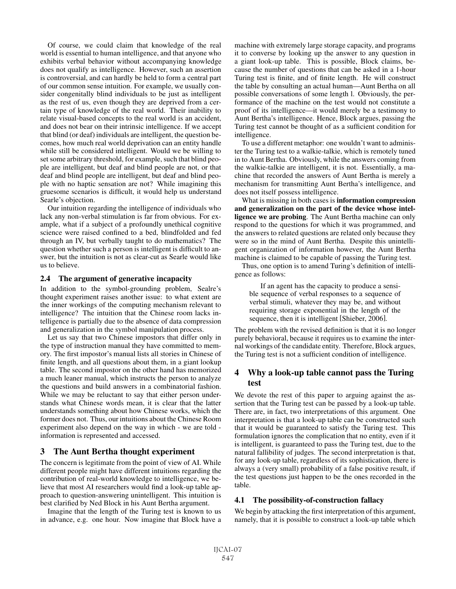Of course, we could claim that knowledge of the real world is essential to human intelligence, and that anyone who exhibits verbal behavior without accompanying knowledge does not qualify as intelligence. However, such an assertion is controversial, and can hardly be held to form a central part of our common sense intuition. For example, we usually consider congenitally blind individuals to be just as intelligent as the rest of us, even though they are deprived from a certain type of knowledge of the real world. Their inability to relate visual-based concepts to the real world is an accident, and does not bear on their intrinsic intelligence. If we accept that blind (or deaf) individuals are intelligent, the question becomes, how much real world deprivation can an entity handle while still be considered intelligent. Would we be willing to set some arbitrary threshold, for example, such that blind people are intelligent, but deaf and blind people are not, or that deaf and blind people are intelligent, but deaf and blind people with no haptic sensation are not? While imagining this gruesome scenarios is difficult, it would help us understand Searle's objection.

Our intuition regarding the intelligence of individuals who lack any non-verbal stimulation is far from obvious. For example, what if a subject of a profoundly unethical cognitive science were raised confined to a bed, blindfolded and fed through an IV, but verbally taught to do mathematics? The question whether such a person is intelligent is difficult to answer, but the intuition is not as clear-cut as Searle would like us to believe.

#### 2.4 The argument of generative incapacity

In addition to the symbol-grounding problem, Sealre's thought experiment raises another issue: to what extent are the inner workings of the computing mechanism relevant to intelligence? The intuition that the Chinese room lacks intelligence is partially due to the absence of data compression and generalization in the symbol manipulation process.

Let us say that two Chinese impostors that differ only in the type of instruction manual they have committed to memory. The first impostor's manual lists all stories in Chinese of finite length, and all questions about them, in a giant lookup table. The second impostor on the other hand has memorized a much leaner manual, which instructs the person to analyze the questions and build answers in a combinatorial fashion. While we may be reluctant to say that either person understands what Chinese words mean, it is clear that the latter understands something about how Chinese works, which the former does not. Thus, our intuitions about the Chinese Room experiment also depend on the way in which - we are told information is represented and accessed.

### 3 The Aunt Bertha thought experiment

The concern is legitimate from the point of view of AI. While different people might have different intuitions regarding the contribution of real-world knowledge to intelligence, we believe that most AI researchers would find a look-up table approach to question-answering unintelligent. This intuition is best clarified by Ned Block in his Aunt Bertha argument.

Imagine that the length of the Turing test is known to us in advance, e.g. one hour. Now imagine that Block have a machine with extremely large storage capacity, and programs it to converse by looking up the answer to any question in a giant look-up table. This is possible, Block claims, because the number of questions that can be asked in a 1-hour Turing test is finite, and of finite length. He will construct the table by consulting an actual human—Aunt Bertha on all possible conversations of some length l. Obviously, the performance of the machine on the test would not constitute a proof of its intelligence—it would merely be a testimony to Aunt Bertha's intelligence. Hence, Block argues, passing the Turing test cannot be thought of as a sufficient condition for intelligence.

To use a different metaphor: one wouldn't want to administer the Turing test to a walkie-talkie, which is remotely tuned in to Aunt Bertha. Obviously, while the answers coming from the walkie-talkie are intelligent, it is not. Essentially, a machine that recorded the answers of Aunt Bertha is merely a mechanism for transmitting Aunt Bertha's intelligence, and does not itself possess intelligence.

What is missing in both cases is information compression and generalization on the part of the device whose intelligence we are probing. The Aunt Bertha machine can only respond to the questions for which it was programmed, and the answers to related questions are related only because they were so in the mind of Aunt Bertha. Despite this unintelligent organization of information however, the Aunt Bertha machine is claimed to be capable of passing the Turing test.

Thus, one option is to amend Turing's definition of intelligence as follows:

If an agent has the capacity to produce a sensible sequence of verbal responses to a sequence of verbal stimuli, whatever they may be, and without requiring storage exponential in the length of the sequence, then it is intelligent [Shieber, 2006].

The problem with the revised definition is that it is no longer purely behavioral, because it requires us to examine the internal workings of the candidate entity. Therefore, Block argues, the Turing test is not a sufficient condition of intelligence.

# 4 Why a look-up table cannot pass the Turing test

We devote the rest of this paper to arguing against the assertion that the Turing test can be passed by a look-up table. There are, in fact, two interpretations of this argument. One interpretation is that a look-up table can be constructed such that it would be guaranteed to satisfy the Turing test. This formulation ignores the complication that no entity, even if it is intelligent, is guaranteed to pass the Turing test, due to the natural fallibility of judges. The second interpretation is that, for any look-up table, regardless of its sophistication, there is always a (very small) probability of a false positive result, if the test questions just happen to be the ones recorded in the table.

### 4.1 The possibility-of-construction fallacy

We begin by attacking the first interpretation of this argument, namely, that it is possible to construct a look-up table which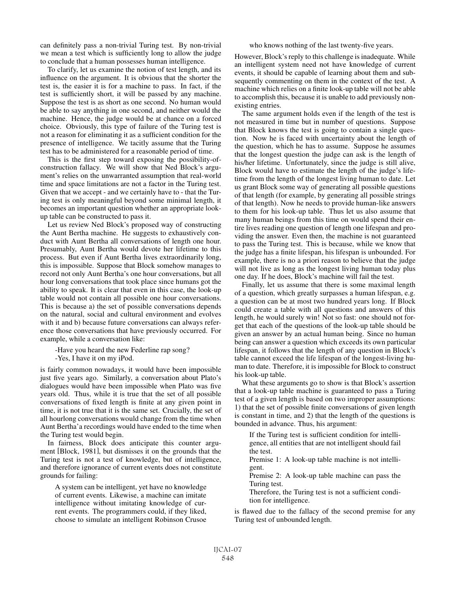can definitely pass a non-trivial Turing test. By non-trivial we mean a test which is sufficiently long to allow the judge to conclude that a human possesses human intelligence.

To clarify, let us examine the notion of test length, and its influence on the argument. It is obvious that the shorter the test is, the easier it is for a machine to pass. In fact, if the test is sufficiently short, it will be passed by any machine. Suppose the test is as short as one second. No human would be able to say anything in one second, and neither would the machine. Hence, the judge would be at chance on a forced choice. Obviously, this type of failure of the Turing test is not a reason for eliminating it as a sufficient condition for the presence of intelligence. We tacitly assume that the Turing test has to be administered for a reasonable period of time.

This is the first step toward exposing the possibility-ofconstruction fallacy. We will show that Ned Block's argument's relies on the unwarranted assumption that real-world time and space limitations are not a factor in the Turing test. Given that we accept - and we certainly have to - that the Turing test is only meaningful beyond some minimal length, it becomes an important question whether an appropriate lookup table can be constructed to pass it.

Let us review Ned Block's proposed way of constructing the Aunt Bertha machine. He suggests to exhaustively conduct with Aunt Bertha all conversations of length one hour. Presumably, Aunt Bertha would devote her lifetime to this process. But even if Aunt Bertha lives extraordinarily long, this is impossible. Suppose that Block somehow manages to record not only Aunt Bertha's one hour conversations, but all hour long conversations that took place since humans got the ability to speak. It is clear that even in this case, the look-up table would not contain all possible one hour conversations. This is because a) the set of possible conversations depends on the natural, social and cultural environment and evolves with it and b) because future conversations can always reference those conversations that have previously occurred. For example, while a conversation like:

-Have you heard the new Federline rap song?

-Yes, I have it on my iPod.

is fairly common nowadays, it would have been impossible just five years ago. Similarly, a conversation about Plato's dialogues would have been impossible when Plato was five years old. Thus, while it is true that the set of all possible conversations of fixed length is finite at any given point in time, it is not true that it is the same set. Crucially, the set of all hourlong conversations would change from the time when Aunt Bertha'a recordings would have ended to the time when the Turing test would begin.

In fairness, Block does anticipate this counter argument [Block, 1981], but dismisses it on the grounds that the Turing test is not a test of knowledge, but of intelligence, and therefore ignorance of current events does not constitute grounds for failing:

A system can be intelligent, yet have no knowledge of current events. Likewise, a machine can imitate intelligence without imitating knowledge of current events. The programmers could, if they liked, choose to simulate an intelligent Robinson Crusoe

who knows nothing of the last twenty-five years.

However, Block's reply to this challenge is inadequate. While an intelligent system need not have knowledge of current events, it should be capable of learning about them and subsequently commenting on them in the context of the test. A machine which relies on a finite look-up table will not be able to accomplish this, because it is unable to add previously nonexisting entries.

The same argument holds even if the length of the test is not measured in time but in number of questions. Suppose that Block knows the test is going to contain a single question. Now he is faced with uncertainty about the length of the question, which he has to assume. Suppose he assumes that the longest question the judge can ask is the length of his/her lifetime. Unfortunately, since the judge is still alive, Block would have to estimate the length of the judge's lifetime from the length of the longest living human to date. Let us grant Block some way of generating all possible questions of that length (for example, by generating all possible strings of that length). Now he needs to provide human-like answers to them for his look-up table. Thus let us also assume that many human beings from this time on would spend their entire lives reading one question of length one lifespan and providing the answer. Even then, the machine is not guaranteed to pass the Turing test. This is because, while we know that the judge has a finite lifespan, his lifespan is unbounded. For example, there is no a priori reason to believe that the judge will not live as long as the longest living human today plus one day. If he does, Block's machine will fail the test.

Finally, let us assume that there is some maximal length of a question, which greatly surpasses a human lifespan, e.g. a question can be at most two hundred years long. If Block could create a table with all questions and answers of this length, he would surely win! Not so fast: one should not forget that each of the questions of the look-up table should be given an answer by an actual human being. Since no human being can answer a question which exceeds its own particular lifespan, it follows that the length of any question in Block's table cannot exceed the life lifespan of the longest-living human to date. Therefore, it is impossible for Block to construct his look-up table.

What these arguments go to show is that Block's assertion that a look-up table machine is guaranteed to pass a Turing test of a given length is based on two improper assumptions: 1) that the set of possible finite conversations of given length is constant in time, and 2) that the length of the questions is bounded in advance. Thus, his argument:

If the Turing test is sufficient condition for intelligence, all entities that are not intelligent should fail the test.

Premise 1: A look-up table machine is not intelligent.

Premise 2: A look-up table machine can pass the Turing test.

Therefore, the Turing test is not a sufficient condition for intelligence.

is flawed due to the fallacy of the second premise for any Turing test of unbounded length.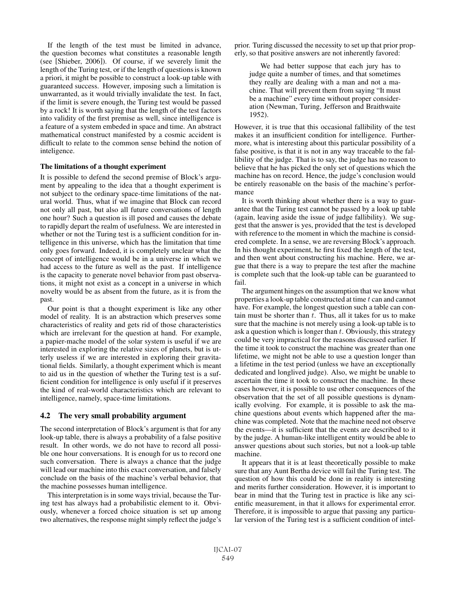If the length of the test must be limited in advance, the question becomes what constitutes a reasonable length (see [Shieber, 2006]). Of course, if we severely limit the length of the Turing test, or if the length of questions is known a priori, it might be possible to construct a look-up table with guaranteed success. However, imposing such a limitation is unwarranted, as it would trivially invalidate the test. In fact, if the limit is severe enough, the Turing test would be passed by a rock! It is worth saying that the length of the test factors into validity of the first premise as well, since intelligence is a feature of a system embeded in space and time. An abstract mathematical construct manifested by a cosmic accident is difficult to relate to the common sense behind the notion of inteligence.

#### The limitations of a thought experiment

It is possible to defend the second premise of Block's argument by appealing to the idea that a thought experiment is not subject to the ordinary space-time limitations of the natural world. Thus, what if we imagine that Block can record not only all past, but also all future conversations of length one hour? Such a question is ill posed and causes the debate to rapidly depart the realm of usefulness. We are interested in whether or not the Turing test is a sufficient condition for intelligence in this universe, which has the limitation that time only goes forward. Indeed, it is completely unclear what the concept of intelligence would be in a universe in which we had access to the future as well as the past. If intelligence is the capacity to generate novel behavior from past observations, it might not exist as a concept in a universe in which novelty would be as absent from the future, as it is from the past.

Our point is that a thought experiment is like any other model of reality. It is an abstraction which preserves some characteristics of reality and gets rid of those characteristics which are irrelevant for the question at hand. For example, a papier-mache model of the solar system is useful if we are interested in exploring the relative sizes of planets, but is utterly useless if we are interested in exploring their gravitational fields. Similarly, a thought experiment which is meant to aid us in the question of whether the Turing test is a sufficient condition for intelligence is only useful if it preserves the kind of real-world characteristics which are relevant to intelligence, namely, space-time limitations.

#### 4.2 The very small probability argument

The second interpretation of Block's argument is that for any look-up table, there is always a probability of a false positive result. In other words, we do not have to record all possible one hour conversations. It is enough for us to record one such conversation. There is always a chance that the judge will lead our machine into this exact conversation, and falsely conclude on the basis of the machine's verbal behavior, that the machine possesses human intelligence.

This interpretation is in some ways trivial, because the Turing test has always had a probabilistic element to it. Obviously, whenever a forced choice situation is set up among two alternatives, the response might simply reflect the judge's prior. Turing discussed the necessity to set up that prior properly, so that positive answers are not inherently favored:

We had better suppose that each jury has to judge quite a number of times, and that sometimes they really are dealing with a man and not a machine. That will prevent them from saying "It must be a machine" every time without proper consideration (Newman, Turing, Jefferson and Braithwaite 1952).

However, it is true that this occasional fallibility of the test makes it an insufficient condition for intelligence. Furthermore, what is interesting about this particular possibility of a false positive, is that it is not in any way traceable to the fallibility of the judge. That is to say, the judge has no reason to believe that he has picked the only set of questions which the machine has on record. Hence, the judge's conclusion would be entirely reasonable on the basis of the machine's performance

It is worth thinking about whether there is a way to guarantee that the Turing test cannot be passed by a look up table (again, leaving aside the issue of judge fallibility). We suggest that the answer is yes, provided that the test is developed with reference to the moment in which the machine is considered complete. In a sense, we are reversing Block's approach. In his thought experiment, he first fixed the length of the test, and then went about constructing his machine. Here, we argue that there is a way to prepare the test after the machine is complete such that the look-up table can be guaranteed to fail.

The argument hinges on the assumption that we know what properties a look-up table constructed at time  $t$  can and cannot have. For example, the longest question such a table can contain must be shorter than  $t$ . Thus, all it takes for us to make sure that the machine is not merely using a look-up table is to ask a question which is longer than  $t$ . Obviously, this strategy could be very impractical for the reasons discussed earlier. If the time it took to construct the machine was greater than one lifetime, we might not be able to use a question longer than a lifetime in the test period (unless we have an exceptionally dedicated and longlived judge). Also, we might be unable to ascertain the time it took to construct the machine. In these cases however, it is possible to use other consequences of the observation that the set of all possible questions is dynamically evolving. For example, it is possible to ask the machine questions about events which happened after the machine was completed. Note that the machine need not observe the events—it is sufficient that the events are described to it by the judge. A human-like intelligent entity would be able to answer questions about such stories, but not a look-up table machine.

It appears that it is at least theoretically possible to make sure that any Aunt Bertha device will fail the Turing test. The question of how this could be done in reality is interesting and merits further consideration. However, it is important to bear in mind that the Turing test in practice is like any scientific measurement, in that it allows for experimental error. Therefore, it is impossible to argue that passing any particular version of the Turing test is a sufficient condition of intel